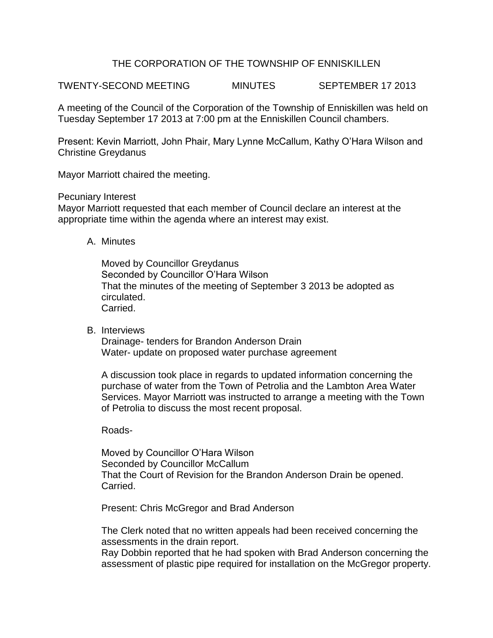# THE CORPORATION OF THE TOWNSHIP OF ENNISKILLEN

TWENTY-SECOND MEETING MINUTES SEPTEMBER 17 2013

A meeting of the Council of the Corporation of the Township of Enniskillen was held on Tuesday September 17 2013 at 7:00 pm at the Enniskillen Council chambers.

Present: Kevin Marriott, John Phair, Mary Lynne McCallum, Kathy O'Hara Wilson and Christine Greydanus

Mayor Marriott chaired the meeting.

Pecuniary Interest

Mayor Marriott requested that each member of Council declare an interest at the appropriate time within the agenda where an interest may exist.

A. Minutes

Moved by Councillor Greydanus Seconded by Councillor O'Hara Wilson That the minutes of the meeting of September 3 2013 be adopted as circulated. Carried.

B. Interviews

Drainage- tenders for Brandon Anderson Drain Water- update on proposed water purchase agreement

A discussion took place in regards to updated information concerning the purchase of water from the Town of Petrolia and the Lambton Area Water Services. Mayor Marriott was instructed to arrange a meeting with the Town of Petrolia to discuss the most recent proposal.

## Roads-

Moved by Councillor O'Hara Wilson Seconded by Councillor McCallum That the Court of Revision for the Brandon Anderson Drain be opened. Carried.

Present: Chris McGregor and Brad Anderson

The Clerk noted that no written appeals had been received concerning the assessments in the drain report.

Ray Dobbin reported that he had spoken with Brad Anderson concerning the assessment of plastic pipe required for installation on the McGregor property.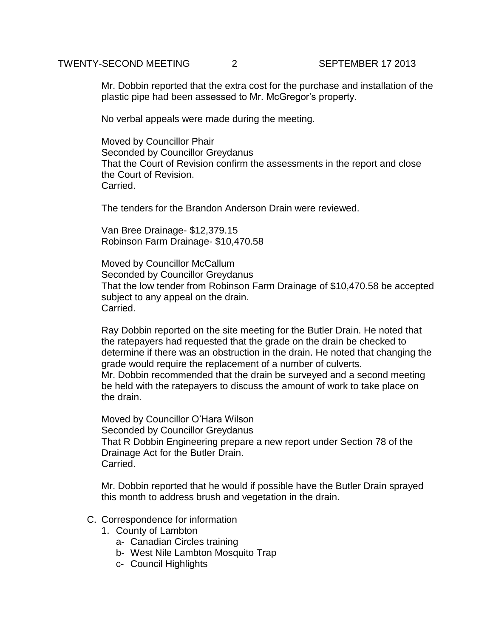## TWENTY-SECOND MEETING 2 SEPTEMBER 17 2013

Mr. Dobbin reported that the extra cost for the purchase and installation of the plastic pipe had been assessed to Mr. McGregor's property.

No verbal appeals were made during the meeting.

Moved by Councillor Phair Seconded by Councillor Greydanus That the Court of Revision confirm the assessments in the report and close the Court of Revision. **Carried** 

The tenders for the Brandon Anderson Drain were reviewed.

Van Bree Drainage- \$12,379.15 Robinson Farm Drainage- \$10,470.58

Moved by Councillor McCallum Seconded by Councillor Greydanus That the low tender from Robinson Farm Drainage of \$10,470.58 be accepted subject to any appeal on the drain. Carried.

Ray Dobbin reported on the site meeting for the Butler Drain. He noted that the ratepayers had requested that the grade on the drain be checked to determine if there was an obstruction in the drain. He noted that changing the grade would require the replacement of a number of culverts. Mr. Dobbin recommended that the drain be surveyed and a second meeting be held with the ratepayers to discuss the amount of work to take place on the drain.

Moved by Councillor O'Hara Wilson Seconded by Councillor Greydanus That R Dobbin Engineering prepare a new report under Section 78 of the Drainage Act for the Butler Drain. Carried.

Mr. Dobbin reported that he would if possible have the Butler Drain sprayed this month to address brush and vegetation in the drain.

## C. Correspondence for information

- 1. County of Lambton
	- a- Canadian Circles training
	- b- West Nile Lambton Mosquito Trap
	- c- Council Highlights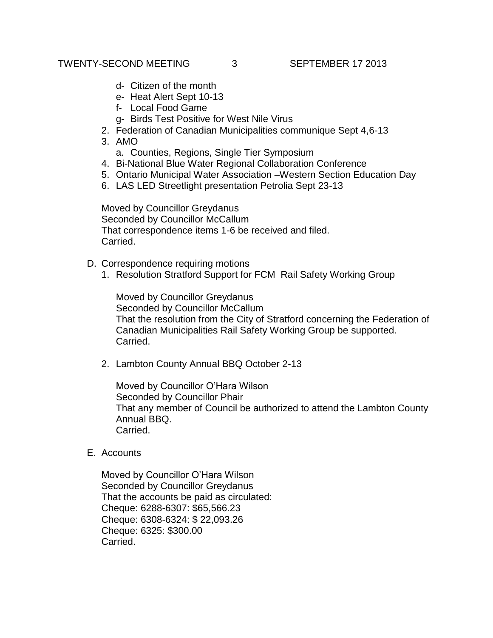## TWENTY-SECOND MEETING 3 SEPTEMBER 17 2013

- d- Citizen of the month
- e- Heat Alert Sept 10-13
- f- Local Food Game
- g- Birds Test Positive for West Nile Virus
- 2. Federation of Canadian Municipalities communique Sept 4,6-13
- 3. AMO
	- a. Counties, Regions, Single Tier Symposium
- 4. Bi-National Blue Water Regional Collaboration Conference
- 5. Ontario Municipal Water Association –Western Section Education Day
- 6. LAS LED Streetlight presentation Petrolia Sept 23-13

Moved by Councillor Greydanus Seconded by Councillor McCallum That correspondence items 1-6 be received and filed. Carried.

- D. Correspondence requiring motions
	- 1. Resolution Stratford Support for FCM Rail Safety Working Group

Moved by Councillor Greydanus Seconded by Councillor McCallum That the resolution from the City of Stratford concerning the Federation of Canadian Municipalities Rail Safety Working Group be supported. Carried.

2. Lambton County Annual BBQ October 2-13

Moved by Councillor O'Hara Wilson Seconded by Councillor Phair That any member of Council be authorized to attend the Lambton County Annual BBQ. Carried.

E. Accounts

Moved by Councillor O'Hara Wilson Seconded by Councillor Greydanus That the accounts be paid as circulated: Cheque: 6288-6307: \$65,566.23 Cheque: 6308-6324: \$ 22,093.26 Cheque: 6325: \$300.00 Carried.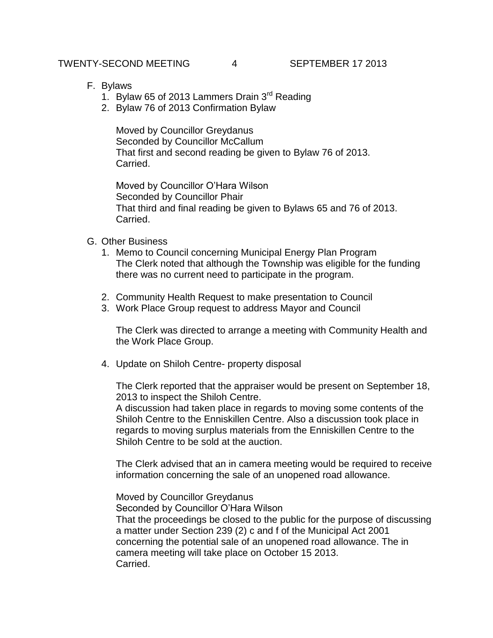# TWENTY-SECOND MEETING 4 SEPTEMBER 17 2013

- F. Bylaws
	- 1. Bylaw 65 of 2013 Lammers Drain 3<sup>rd</sup> Reading
	- 2. Bylaw 76 of 2013 Confirmation Bylaw

Moved by Councillor Greydanus Seconded by Councillor McCallum That first and second reading be given to Bylaw 76 of 2013. Carried.

Moved by Councillor O'Hara Wilson Seconded by Councillor Phair That third and final reading be given to Bylaws 65 and 76 of 2013. Carried.

- G. Other Business
	- 1. Memo to Council concerning Municipal Energy Plan Program The Clerk noted that although the Township was eligible for the funding there was no current need to participate in the program.
	- 2. Community Health Request to make presentation to Council
	- 3. Work Place Group request to address Mayor and Council

The Clerk was directed to arrange a meeting with Community Health and the Work Place Group.

4. Update on Shiloh Centre- property disposal

The Clerk reported that the appraiser would be present on September 18, 2013 to inspect the Shiloh Centre.

A discussion had taken place in regards to moving some contents of the Shiloh Centre to the Enniskillen Centre. Also a discussion took place in regards to moving surplus materials from the Enniskillen Centre to the Shiloh Centre to be sold at the auction.

The Clerk advised that an in camera meeting would be required to receive information concerning the sale of an unopened road allowance.

Moved by Councillor Greydanus Seconded by Councillor O'Hara Wilson That the proceedings be closed to the public for the purpose of discussing a matter under Section 239 (2) c and f of the Municipal Act 2001 concerning the potential sale of an unopened road allowance. The in camera meeting will take place on October 15 2013. Carried.